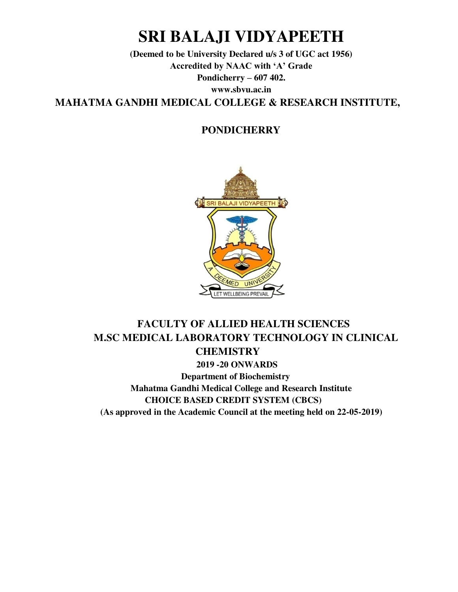# **SRI BALAJI VIDYAPEETH**

**(Deemed to be University Declared u/s 3 of UGC act 1956) Accredited by NAAC with 'A' Grade Pondicherry – 607 402. www.sbvu.ac.in MAHATMA GANDHI MEDICAL COLLEGE & RESEARCH INSTITUTE,** 

# **PONDICHERRY**



# **FACULTY OF ALLIED HEALTH SCIENCES M.SC MEDICAL LABORATORY TECHNOLOGY IN CLINICAL CHEMISTRY 2019 -20 ONWARDS Department of Biochemistry Mahatma Gandhi Medical College and Research Institute CHOICE BASED CREDIT SYSTEM (CBCS) (As approved in the Academic Council at the meeting held on 22-05-2019)**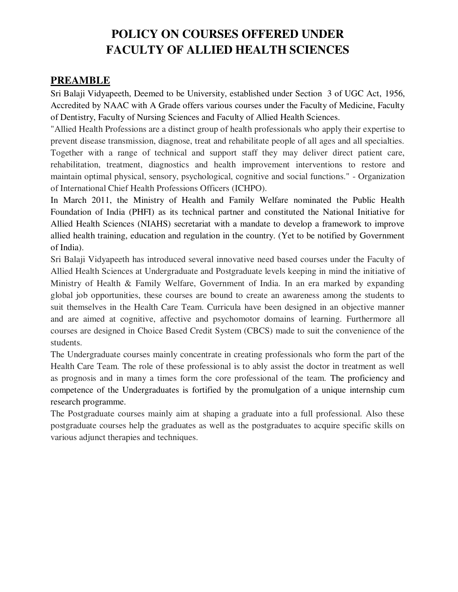# **POLICY ON COURSES OFFERED UNDER FACULTY OF ALLIED HEALTH SCIENCES**

# **PREAMBLE**

Sri Balaji Vidyapeeth, Deemed to be University, established under Section 3 of UGC Act, 1956, Accredited by NAAC with A Grade offers various courses under the Faculty of Medicine, Faculty of Dentistry, Faculty of Nursing Sciences and Faculty of Allied Health Sciences.

"Allied Health Professions are a distinct group of health professionals who apply their expertise to prevent disease transmission, diagnose, treat and rehabilitate people of all ages and all specialties.

Together with a range of technical and support staff they may deliver direct patient care, rehabilitation, treatment, diagnostics and health improvement interventions to restore and maintain optimal physical, sensory, psychological, cognitive and social functions." - Organization of International Chief Health Professions Officers (ICHPO).

In March 2011, the Ministry of Health and Family Welfare nominated the Public Health Foundation of India (PHFI) as its technical partner and constituted the National Initiative for Allied Health Sciences (NIAHS) secretariat with a mandate to develop a framework to improve allied health training, education and regulation in the country. (Yet to be notified by Government of India).

Sri Balaji Vidyapeeth has introduced several innovative need based courses under the Faculty of Allied Health Sciences at Undergraduate and Postgraduate levels keeping in mind the initiative of Ministry of Health & Family Welfare, Government of India. In an era marked by expanding global job opportunities, these courses are bound to create an awareness among the students to suit themselves in the Health Care Team. Curricula have been designed in an objective manner and are aimed at cognitive, affective and psychomotor domains of learning. Furthermore all courses are designed in Choice Based Credit System (CBCS) made to suit the convenience of the students.

The Undergraduate courses mainly concentrate in creating professionals who form the part of the Health Care Team. The role of these professional is to ably assist the doctor in treatment as well as prognosis and in many a times form the core professional of the team. The proficiency and competence of the Undergraduates is fortified by the promulgation of a unique internship cum research programme.

The Postgraduate courses mainly aim at shaping a graduate into a full professional. Also these postgraduate courses help the graduates as well as the postgraduates to acquire specific skills on various adjunct therapies and techniques.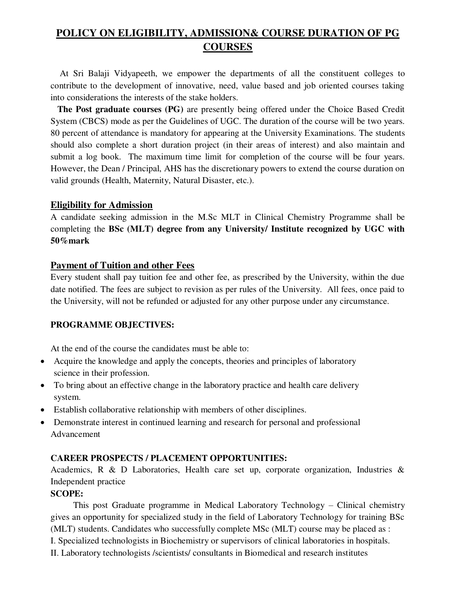# **POLICY ON ELIGIBILITY, ADMISSION& COURSE DURATION OF PG COURSES**

 At Sri Balaji Vidyapeeth, we empower the departments of all the constituent colleges to contribute to the development of innovative, need, value based and job oriented courses taking into considerations the interests of the stake holders.

 **The Post graduate courses (PG)** are presently being offered under the Choice Based Credit System (CBCS) mode as per the Guidelines of UGC. The duration of the course will be two years. 80 percent of attendance is mandatory for appearing at the University Examinations. The students should also complete a short duration project (in their areas of interest) and also maintain and submit a log book. The maximum time limit for completion of the course will be four years. However, the Dean / Principal, AHS has the discretionary powers to extend the course duration on valid grounds (Health, Maternity, Natural Disaster, etc.).

### **Eligibility for Admission**

A candidate seeking admission in the M.Sc MLT in Clinical Chemistry Programme shall be completing the **BSc (MLT) degree from any University/ Institute recognized by UGC with 50%mark** 

### **Payment of Tuition and other Fees**

Every student shall pay tuition fee and other fee, as prescribed by the University, within the due date notified. The fees are subject to revision as per rules of the University. All fees, once paid to the University, will not be refunded or adjusted for any other purpose under any circumstance.

# **PROGRAMME OBJECTIVES:**

At the end of the course the candidates must be able to:

- Acquire the knowledge and apply the concepts, theories and principles of laboratory science in their profession.
- To bring about an effective change in the laboratory practice and health care delivery system.
- Establish collaborative relationship with members of other disciplines.
- Demonstrate interest in continued learning and research for personal and professional Advancement

# **CAREER PROSPECTS / PLACEMENT OPPORTUNITIES:**

Academics, R & D Laboratories, Health care set up, corporate organization, Industries & Independent practice

# **SCOPE:**

 This post Graduate programme in Medical Laboratory Technology – Clinical chemistry gives an opportunity for specialized study in the field of Laboratory Technology for training BSc (MLT) students. Candidates who successfully complete MSc (MLT) course may be placed as : I. Specialized technologists in Biochemistry or supervisors of clinical laboratories in hospitals. II. Laboratory technologists /scientists/ consultants in Biomedical and research institutes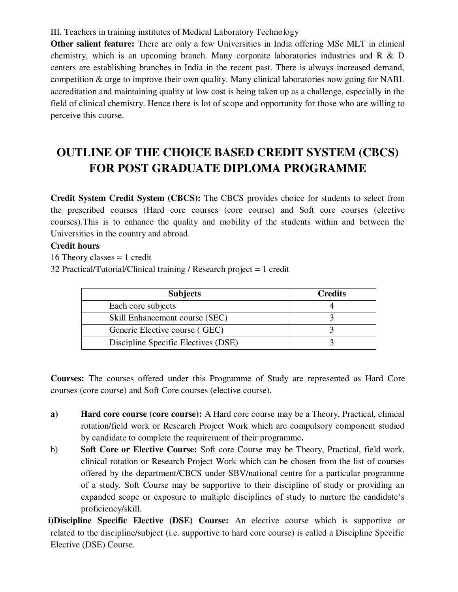# III. Teachers in training institutes of Medical Laboratory Technology

**Other salient feature:** There are only a few Universities in India offering MSc MLT in clinical chemistry, which is an upcoming branch. Many corporate laboratories industries and R & D centers are establishing branches in India in the recent past. There is always increased demand, competition & urge to improve their own quality. Many clinical laboratories now going for NABL accreditation and maintaining quality at low cost is being taken up as a challenge, especially in the field of clinical chemistry. Hence there is lot of scope and opportunity for those who are willing to perceive this course.

# **OUTLINE OF THE CHOICE BASED CREDIT SYSTEM (CBCS) FOR POST GRADUATE DIPLOMA PROGRAMME**

**Credit System Credit System (CBCS):** The CBCS provides choice for students to select from the prescribed courses (Hard core courses (core course) and Soft core courses (elective courses).This is to enhance the quality and mobility of the students within and between the Universities in the country and abroad.

# **Credit hours**

16 Theory classes  $= 1$  credit

32 Practical/Tutorial/Clinical training / Research project = 1 credit

| <b>Subjects</b>                     | <b>Credits</b> |
|-------------------------------------|----------------|
| Each core subjects                  |                |
| Skill Enhancement course (SEC)      |                |
| Generic Elective course (GEC)       |                |
| Discipline Specific Electives (DSE) |                |

**Courses:** The courses offered under this Programme of Study are represented as Hard Core courses (core course) and Soft Core courses (elective course).

- **a) Hard core course (core course):** A Hard core course may be a Theory, Practical, clinical rotation/field work or Research Project Work which are compulsory component studied by candidate to complete the requirement of their programme**.**
- b) **Soft Core or Elective Course:** Soft core Course may be Theory, Practical, field work, clinical rotation or Research Project Work which can be chosen from the list of courses offered by the department/CBCS under SBV/national centre for a particular programme of a study. Soft Course may be supportive to their discipline of study or providing an expanded scope or exposure to multiple disciplines of study to nurture the candidate's proficiency/skill.

**i) Discipline Specific Elective (DSE) Course:** An elective course which is supportive or related to the discipline/subject (i.e. supportive to hard core course) is called a Discipline Specific Elective (DSE) Course.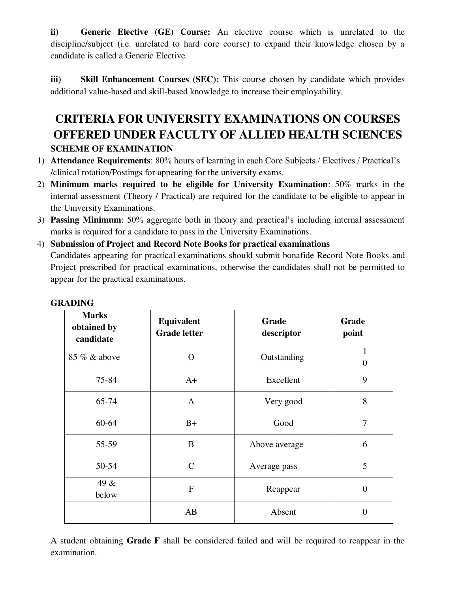**ii) Generic Elective (GE) Course:** An elective course which is unrelated to the discipline/subject (i.e. unrelated to hard core course) to expand their knowledge chosen by a candidate is called a Generic Elective.

**iii)** Skill Enhancement Courses (SEC): This course chosen by candidate which provides additional value-based and skill-based knowledge to increase their employability.

# **CRITERIA FOR UNIVERSITY EXAMINATIONS ON COURSES OFFERED UNDER FACULTY OF ALLIED HEALTH SCIENCES SCHEME OF EXAMINATION**

- 1) **Attendance Requirements**: 80% hours of learning in each Core Subjects / Electives / Practical's /clinical rotation/Postings for appearing for the university exams.
- 2) **Minimum marks required to be eligible for University Examination**: 50% marks in the internal assessment (Theory / Practical) are required for the candidate to be eligible to appear in the University Examinations.
- 3) **Passing Minimum**: 50% aggregate both in theory and practical's including internal assessment marks is required for a candidate to pass in the University Examinations.
- 4) **Submission of Project and Record Note Books for practical examinations**  Candidates appearing for practical examinations should submit bonafide Record Note Books and Project prescribed for practical examinations, otherwise the candidates shall not be permitted to appear for the practical examinations.

| <b>Marks</b><br>obtained by<br>candidate | Equivalent<br><b>Grade letter</b> | Grade<br>descriptor | Grade<br>point           |
|------------------------------------------|-----------------------------------|---------------------|--------------------------|
| 85 % & above                             | $\Omega$                          | Outstanding         | $\mathbf{1}$<br>$\theta$ |
| 75-84                                    | $A+$                              | Excellent           | 9                        |
| 65-74                                    | $\mathbf{A}$                      | Very good           | 8                        |
| $60 - 64$                                | $B+$                              | Good                | 7                        |
| 55-59                                    | B                                 | Above average       | 6                        |
| 50-54                                    | $\mathsf{C}$                      | Average pass        | 5                        |
| 49 &<br>below                            | $\mathbf F$                       | Reappear            | $\overline{0}$           |
|                                          | AB                                | Absent              | $\overline{0}$           |

# **GRADING**

A student obtaining **Grade F** shall be considered failed and will be required to reappear in the examination.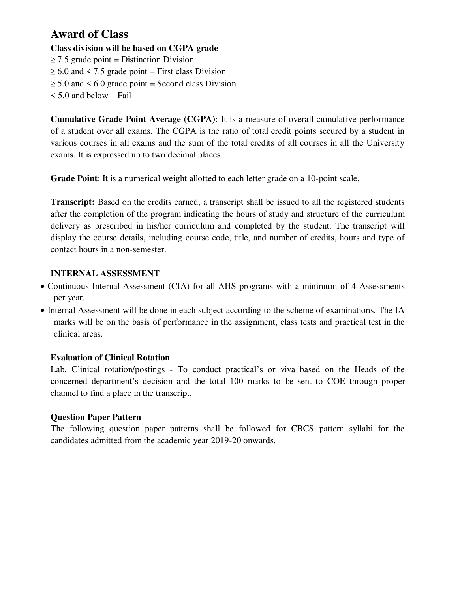# **Award of Class**

# **Class division will be based on CGPA grade**

- $\geq$  7.5 grade point = Distinction Division
- $\geq 6.0$  and  $\leq 7.5$  grade point = First class Division
- $\geq 5.0$  and  $\leq 6.0$  grade point = Second class Division
- < 5.0 and below Fail

**Cumulative Grade Point Average (CGPA)**: It is a measure of overall cumulative performance of a student over all exams. The CGPA is the ratio of total credit points secured by a student in various courses in all exams and the sum of the total credits of all courses in all the University exams. It is expressed up to two decimal places.

**Grade Point**: It is a numerical weight allotted to each letter grade on a 10-point scale.

**Transcript:** Based on the credits earned, a transcript shall be issued to all the registered students after the completion of the program indicating the hours of study and structure of the curriculum delivery as prescribed in his/her curriculum and completed by the student. The transcript will display the course details, including course code, title, and number of credits, hours and type of contact hours in a non-semester.

# **INTERNAL ASSESSMENT**

- Continuous Internal Assessment (CIA) for all AHS programs with a minimum of 4 Assessments per year.
- Internal Assessment will be done in each subject according to the scheme of examinations. The IA marks will be on the basis of performance in the assignment, class tests and practical test in the clinical areas.

# **Evaluation of Clinical Rotation**

Lab, Clinical rotation/postings - To conduct practical's or viva based on the Heads of the concerned department's decision and the total 100 marks to be sent to COE through proper channel to find a place in the transcript.

# **Question Paper Pattern**

The following question paper patterns shall be followed for CBCS pattern syllabi for the candidates admitted from the academic year 2019-20 onwards.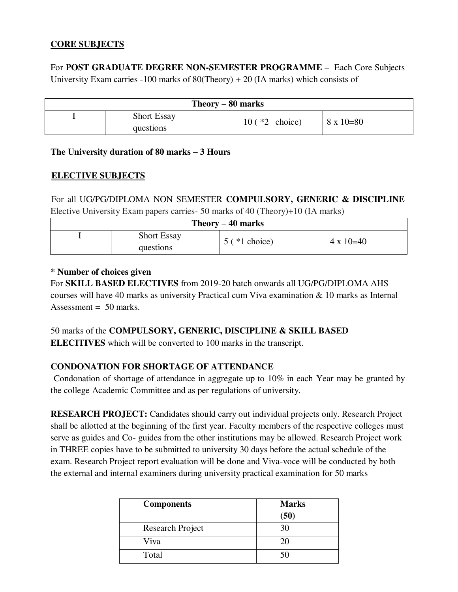# **CORE SUBJECTS**

For **POST GRADUATE DEGREE NON-SEMESTER PROGRAMME –** Each Core Subjects University Exam carries -100 marks of  $80$ (Theory) + 20 (IA marks) which consists of

| Theory $-80$ marks |                    |                   |                    |  |
|--------------------|--------------------|-------------------|--------------------|--|
|                    | <b>Short Essay</b> | $10 (*2)$ choice) | $8 \times 10 = 80$ |  |
|                    | questions          |                   |                    |  |

# **The University duration of 80 marks – 3 Hours**

# **ELECTIVE SUBJECTS**

For all UG/PG/DIPLOMA NON SEMESTER **COMPULSORY, GENERIC & DISCIPLINE**  Elective University Exam papers carries- 50 marks of 40 (Theory)+10 (IA marks)

| Theory $-40$ marks |                    |                    |                  |  |
|--------------------|--------------------|--------------------|------------------|--|
|                    | <b>Short Essay</b> | $5$ ( $*1$ choice) | $4 \times 10=40$ |  |
|                    | questions          |                    |                  |  |

# **\* Number of choices given**

For **SKILL BASED ELECTIVES** from 2019-20 batch onwards all UG/PG/DIPLOMA AHS courses will have 40 marks as university Practical cum Viva examination & 10 marks as Internal Assessment =  $50$  marks.

# 50 marks of the **COMPULSORY, GENERIC, DISCIPLINE & SKILL BASED**

**ELECITIVES** which will be converted to 100 marks in the transcript.

# **CONDONATION FOR SHORTAGE OF ATTENDANCE**

 Condonation of shortage of attendance in aggregate up to 10% in each Year may be granted by the college Academic Committee and as per regulations of university.

**RESEARCH PROJECT:** Candidates should carry out individual projects only. Research Project shall be allotted at the beginning of the first year. Faculty members of the respective colleges must serve as guides and Co- guides from the other institutions may be allowed. Research Project work in THREE copies have to be submitted to university 30 days before the actual schedule of the exam. Research Project report evaluation will be done and Viva-voce will be conducted by both the external and internal examiners during university practical examination for 50 marks

| <b>Components</b>       | <b>Marks</b> |
|-------------------------|--------------|
|                         | (50)         |
| <b>Research Project</b> | 30           |
| Viva                    | 20           |
| Total                   | 50           |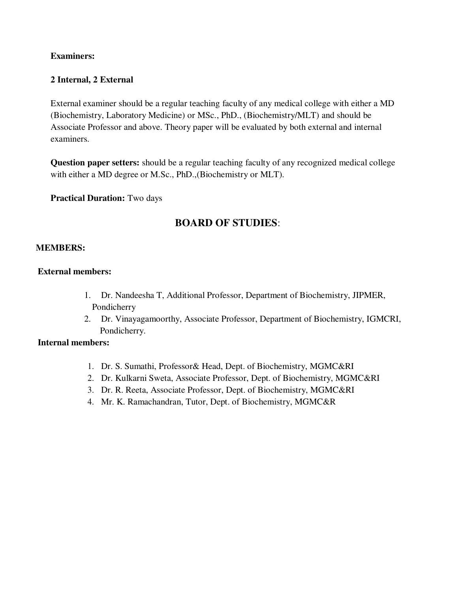# **Examiners:**

# **2 Internal, 2 External**

External examiner should be a regular teaching faculty of any medical college with either a MD (Biochemistry, Laboratory Medicine) or MSc., PhD., (Biochemistry/MLT) and should be Associate Professor and above. Theory paper will be evaluated by both external and internal examiners.

**Question paper setters:** should be a regular teaching faculty of any recognized medical college with either a MD degree or M.Sc., PhD.,(Biochemistry or MLT).

**Practical Duration:** Two days

# **BOARD OF STUDIES**:

# **MEMBERS:**

### **External members:**

- 1. Dr. Nandeesha T, Additional Professor, Department of Biochemistry, JIPMER, Pondicherry
- 2. Dr. Vinayagamoorthy, Associate Professor, Department of Biochemistry, IGMCRI, Pondicherry.

#### **Internal members:**

- 1. Dr. S. Sumathi, Professor& Head, Dept. of Biochemistry, MGMC&RI
- 2. Dr. Kulkarni Sweta, Associate Professor, Dept. of Biochemistry, MGMC&RI
- 3. Dr. R. Reeta, Associate Professor, Dept. of Biochemistry, MGMC&RI
- 4. Mr. K. Ramachandran, Tutor, Dept. of Biochemistry, MGMC&R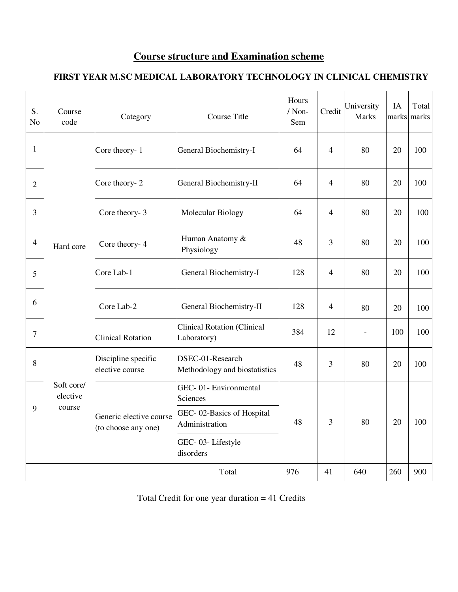# **Course structure and Examination scheme**

# **FIRST YEAR M.SC MEDICAL LABORATORY TECHNOLOGY IN CLINICAL CHEMISTRY**

| S.<br>N <sub>o</sub> | Course<br>code         | Category                                       | <b>Course Title</b>                               | Hours<br>/ Non-<br>Sem | Credit         | University<br><b>Marks</b> | IA<br>marks | Total<br>marks |
|----------------------|------------------------|------------------------------------------------|---------------------------------------------------|------------------------|----------------|----------------------------|-------------|----------------|
| 1                    |                        | Core theory-1                                  | General Biochemistry-I                            | 64                     | $\overline{4}$ | 80                         | 20          | 100            |
| $\overline{2}$       |                        | Core theory- 2                                 | General Biochemistry-II                           | 64                     | 4              | 80                         | 20          | 100            |
| 3                    |                        | Core theory- 3                                 | Molecular Biology                                 | 64                     | $\overline{4}$ | 80                         | 20          | 100            |
| $\overline{4}$       | Hard core              | Core theory-4                                  | Human Anatomy &<br>Physiology                     | 48                     | 3              | 80                         | 20          | 100            |
| 5                    |                        | Core Lab-1                                     | General Biochemistry-I                            | 128                    | 4              | 80                         | 20          | 100            |
| 6                    |                        | Core Lab-2                                     | General Biochemistry-II                           | 128                    | $\overline{4}$ | 80                         | 20          | 100            |
| 7                    |                        | <b>Clinical Rotation</b>                       | <b>Clinical Rotation (Clinical</b><br>Laboratory) | 384                    | 12             |                            | 100         | 100            |
| 8                    |                        | Discipline specific<br>elective course         | DSEC-01-Research<br>Methodology and biostatistics | 48                     | 3              | 80                         | 20          | 100            |
|                      | Soft core/<br>elective |                                                | GEC-01- Environmental<br>Sciences                 |                        |                |                            |             |                |
| 9                    | course                 | Generic elective course<br>(to choose any one) | GEC-02-Basics of Hospital<br>Administration       | 48                     | 3              | 80                         | 20          | 100            |
|                      |                        |                                                | GEC-03-Lifestyle<br>disorders                     |                        |                |                            |             |                |
|                      |                        |                                                | Total                                             | 976                    | 41             | 640                        | 260         | 900            |

Total Credit for one year duration = 41 Credits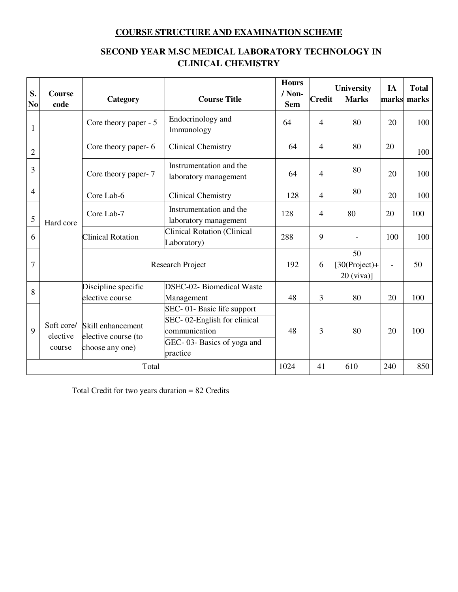# **COURSE STRUCTURE AND EXAMINATION SCHEME**

# **SECOND YEAR M.SC MEDICAL LABORATORY TECHNOLOGY IN CLINICAL CHEMISTRY**

| S.<br>N <sub>o</sub> | <b>Course</b><br>code            | Category                                                    | <b>Course Title</b>                                                                                                 | <b>Hours</b><br>/Non-<br><b>Sem</b> | Credit                   | <b>University</b><br><b>Marks</b>     | IA                       | <b>Total</b><br>marks marks |
|----------------------|----------------------------------|-------------------------------------------------------------|---------------------------------------------------------------------------------------------------------------------|-------------------------------------|--------------------------|---------------------------------------|--------------------------|-----------------------------|
| 1                    |                                  | Core theory paper - 5                                       | Endocrinology and<br>Immunology                                                                                     | 64                                  | 4                        | 80                                    | 20                       | 100                         |
| $\overline{2}$       |                                  | Core theory paper- 6                                        | <b>Clinical Chemistry</b>                                                                                           | 64                                  | $\overline{4}$           | 80                                    | 20                       | 100                         |
| 3                    |                                  | Core theory paper-7                                         | Instrumentation and the<br>laboratory management                                                                    | 64                                  | $\overline{\mathcal{A}}$ | 80                                    | 20                       | 100                         |
| $\overline{4}$       |                                  | Core Lab-6                                                  | <b>Clinical Chemistry</b>                                                                                           | 128                                 | 4                        | 80                                    | 20                       | 100                         |
| 5                    | Hard core                        | Core Lab-7                                                  | Instrumentation and the<br>laboratory management                                                                    | 128                                 | 4                        | 80                                    | 20                       | 100                         |
| 6                    |                                  | <b>Clinical Rotation</b>                                    | <b>Clinical Rotation (Clinical</b><br>Laboratory)                                                                   | 288                                 | 9                        | $\overline{\phantom{a}}$              | 100                      | 100                         |
| 7                    |                                  |                                                             | Research Project                                                                                                    | 192                                 | 6                        | 50<br>$[30(Project)+$<br>$20$ (viva)] | $\overline{\phantom{a}}$ | 50                          |
| 8                    |                                  | Discipline specific<br>elective course                      | <b>DSEC-02-</b> Biomedical Waste<br>Management                                                                      | 48                                  | 3                        | 80                                    | 20                       | 100                         |
| 9                    | Soft core/<br>elective<br>course | Skill enhancement<br>elective course (to<br>choose any one) | SEC-01-Basic life support<br>SEC-02-English for clinical<br>communication<br>GEC-03- Basics of yoga and<br>practice | 48                                  | 3                        | 80                                    | 20                       | 100                         |
|                      | Total                            |                                                             |                                                                                                                     | 1024                                | 41                       | 610                                   | 240                      | 850                         |

Total Credit for two years duration = 82 Credits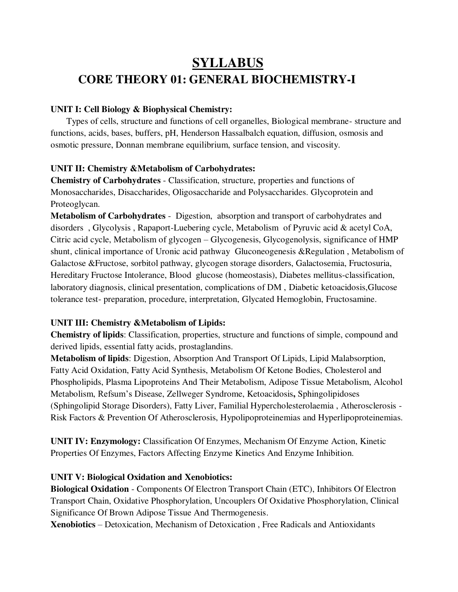# **SYLLABUS CORE THEORY 01: GENERAL BIOCHEMISTRY-I**

### **UNIT I: Cell Biology & Biophysical Chemistry:**

Types of cells, structure and functions of cell organelles, Biological membrane- structure and functions, acids, bases, buffers, pH, Henderson Hassalbalch equation, diffusion, osmosis and osmotic pressure, Donnan membrane equilibrium, surface tension, and viscosity.

#### **UNIT II: Chemistry &Metabolism of Carbohydrates:**

**Chemistry of Carbohydrates** - Classification, structure, properties and functions of Monosaccharides, Disaccharides, Oligosaccharide and Polysaccharides. Glycoprotein and Proteoglycan.

**Metabolism of Carbohydrates** - Digestion, absorption and transport of carbohydrates and disorders , Glycolysis , Rapaport-Luebering cycle, Metabolism of Pyruvic acid & acetyl CoA, Citric acid cycle, Metabolism of glycogen – Glycogenesis, Glycogenolysis, significance of HMP shunt, clinical importance of Uronic acid pathway Gluconeogenesis &Regulation , Metabolism of Galactose &Fructose, sorbitol pathway, glycogen storage disorders, Galactosemia, Fructosuria, Hereditary Fructose Intolerance, Blood glucose (homeostasis), Diabetes mellitus-classification, laboratory diagnosis, clinical presentation, complications of DM , Diabetic ketoacidosis,Glucose tolerance test- preparation, procedure, interpretation, Glycated Hemoglobin, Fructosamine.

# **UNIT III: Chemistry &Metabolism of Lipids:**

**Chemistry of lipids**: Classification, properties, structure and functions of simple, compound and derived lipids, essential fatty acids, prostaglandins.

**Metabolism of lipids**: Digestion, Absorption And Transport Of Lipids, Lipid Malabsorption, Fatty Acid Oxidation, Fatty Acid Synthesis, Metabolism Of Ketone Bodies, Cholesterol and Phospholipids, Plasma Lipoproteins And Their Metabolism, Adipose Tissue Metabolism, Alcohol Metabolism, Refsum's Disease, Zellweger Syndrome, Ketoacidosis**,** Sphingolipidoses (Sphingolipid Storage Disorders), Fatty Liver, Familial Hypercholesterolaemia , Atherosclerosis - Risk Factors & Prevention Of Atherosclerosis, Hypolipoproteinemias and Hyperlipoproteinemias.

**UNIT IV: Enzymology:** Classification Of Enzymes, Mechanism Of Enzyme Action, Kinetic Properties Of Enzymes, Factors Affecting Enzyme Kinetics And Enzyme Inhibition.

#### **UNIT V: Biological Oxidation and Xenobiotics:**

**Biological Oxidation** - Components Of Electron Transport Chain (ETC), Inhibitors Of Electron Transport Chain, Oxidative Phosphorylation, Uncouplers Of Oxidative Phosphorylation, Clinical Significance Of Brown Adipose Tissue And Thermogenesis.

**Xenobiotics** – Detoxication, Mechanism of Detoxication , Free Radicals and Antioxidants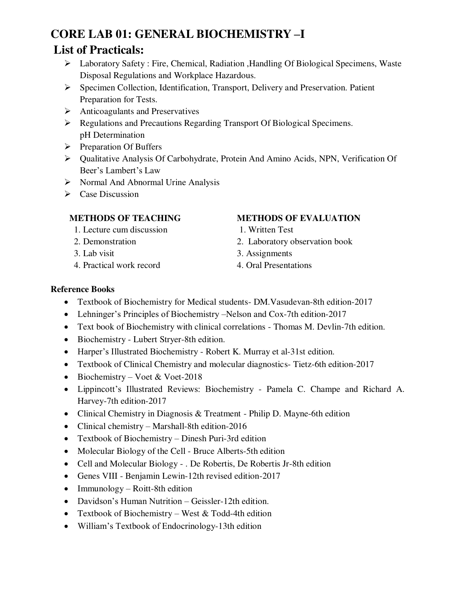# **CORE LAB 01: GENERAL BIOCHEMISTRY –I List of Practicals:**

- Laboratory Safety : Fire, Chemical, Radiation ,Handling Of Biological Specimens, Waste Disposal Regulations and Workplace Hazardous.
- Specimen Collection, Identification, Transport, Delivery and Preservation. Patient Preparation for Tests.
- $\triangleright$  Anticoagulants and Preservatives
- Regulations and Precautions Regarding Transport Of Biological Specimens. pH Determination
- $\triangleright$  Preparation Of Buffers
- Qualitative Analysis Of Carbohydrate, Protein And Amino Acids, NPN, Verification Of Beer's Lambert's Law
- $\triangleright$  Normal And Abnormal Urine Analysis
- $\triangleright$  Case Discussion

# **METHODS OF TEACHING**

- 1. Lecture cum discussion
- 2. Demonstration
- 3. Lab visit
- 4. Practical work record
- **METHODS OF EVALUATION**
- 1. Written Test
- 2. Laboratory observation book
- 3. Assignments
- 4. Oral Presentations

# **Reference Books**

- Textbook of Biochemistry for Medical students- DM.Vasudevan-8th edition-2017
- Lehninger's Principles of Biochemistry –Nelson and Cox-7th edition-2017
- Text book of Biochemistry with clinical correlations Thomas M. Devlin-7th edition.
- Biochemistry Lubert Stryer-8th edition.
- Harper's Illustrated Biochemistry Robert K. Murray et al-31st edition.
- Textbook of Clinical Chemistry and molecular diagnostics- Tietz-6th edition-2017
- Biochemistry Voet & Voet-2018
- Lippincott's Illustrated Reviews: Biochemistry Pamela C. Champe and Richard A. Harvey-7th edition-2017
- Clinical Chemistry in Diagnosis & Treatment Philip D. Mayne-6th edition
- Clinical chemistry Marshall-8th edition-2016
- Textbook of Biochemistry Dinesh Puri-3rd edition
- Molecular Biology of the Cell Bruce Alberts-5th edition
- Cell and Molecular Biology . De Robertis, De Robertis Jr-8th edition
- Genes VIII Benjamin Lewin-12th revised edition-2017
- $\bullet$  Immunology Roitt-8th edition
- Davidson's Human Nutrition Geissler-12th edition.
- Textbook of Biochemistry West  $& Todd-4th edition$
- William's Textbook of Endocrinology-13th edition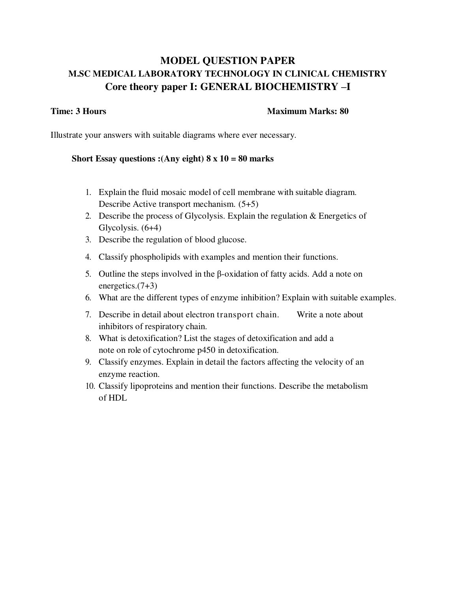# **MODEL QUESTION PAPER M.SC MEDICAL LABORATORY TECHNOLOGY IN CLINICAL CHEMISTRY Core theory paper I: GENERAL BIOCHEMISTRY –I**

#### **Time: 3 Hours Maximum Marks: 80 and Maximum Marks: 80 and Maximum Marks: 80 and Maximum Marks: 80 and Maximum Marks: 80 and Maximum Marks: 80 and Maximum Marks: 80 and Maximum Marks: 80 and Maximum Marks: 80 and Maximum M**

Illustrate your answers with suitable diagrams where ever necessary.

### **Short Essay questions :(Any eight) 8 x 10 = 80 marks**

- 1. Explain the fluid mosaic model of cell membrane with suitable diagram. Describe Active transport mechanism. (5+5)
- 2. Describe the process of Glycolysis. Explain the regulation & Energetics of Glycolysis. (6+4)
- 3. Describe the regulation of blood glucose.
- 4. Classify phospholipids with examples and mention their functions.
- 5. Outline the steps involved in the β-oxidation of fatty acids. Add a note on energetics. $(7+3)$
- 6. What are the different types of enzyme inhibition? Explain with suitable examples.
- 7. Describe in detail about electron transport chain. Write a note about inhibitors of respiratory chain.
- 8. What is detoxification? List the stages of detoxification and add a note on role of cytochrome p450 in detoxification.
- 9. Classify enzymes. Explain in detail the factors affecting the velocity of an enzyme reaction.
- 10. Classify lipoproteins and mention their functions. Describe the metabolism of HDL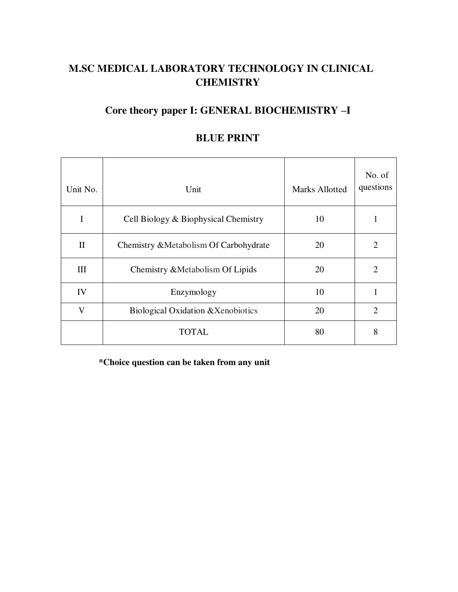# **M.SC MEDICAL LABORATORY TECHNOLOGY IN CLINICAL CHEMISTRY**

# **Core theory paper I: GENERAL BIOCHEMISTRY –I**

| Unit No.     | Unit                                   | <b>Marks Allotted</b> | No. of<br>questions         |
|--------------|----------------------------------------|-----------------------|-----------------------------|
| I            | Cell Biology & Biophysical Chemistry   | 10                    |                             |
| $\mathbf{I}$ | Chemistry & Metabolism Of Carbohydrate | 20                    | 2                           |
| III          | Chemistry & Metabolism Of Lipids       | 20                    | 2                           |
| IV           | Enzymology                             | 10                    |                             |
| $\mathbf{V}$ | Biological Oxidation & Xenobiotics     | 20                    | $\mathcal{D}_{\mathcal{L}}$ |
|              | <b>TOTAL</b>                           | 80                    | 8                           |

# **BLUE PRINT**

**\*Choice question can be taken from any unit**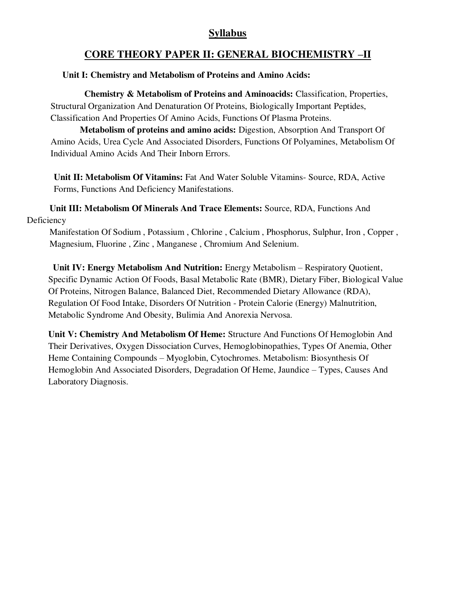# **Syllabus**

# **CORE THEORY PAPER II: GENERAL BIOCHEMISTRY –II**

# **Unit I: Chemistry and Metabolism of Proteins and Amino Acids:**

 **Chemistry & Metabolism of Proteins and Aminoacids:** Classification, Properties, Structural Organization And Denaturation Of Proteins, Biologically Important Peptides, Classification And Properties Of Amino Acids, Functions Of Plasma Proteins.

 **Metabolism of proteins and amino acids:** Digestion, Absorption And Transport Of Amino Acids, Urea Cycle And Associated Disorders, Functions Of Polyamines, Metabolism Of Individual Amino Acids And Their Inborn Errors.

**Unit II: Metabolism Of Vitamins:** Fat And Water Soluble Vitamins- Source, RDA, Active Forms, Functions And Deficiency Manifestations.

 **Unit III: Metabolism Of Minerals And Trace Elements:** Source, RDA, Functions And Deficiency

 Manifestation Of Sodium , Potassium , Chlorine , Calcium , Phosphorus, Sulphur, Iron , Copper , Magnesium, Fluorine , Zinc , Manganese , Chromium And Selenium.

 **Unit IV: Energy Metabolism And Nutrition:** Energy Metabolism – Respiratory Quotient, Specific Dynamic Action Of Foods, Basal Metabolic Rate (BMR), Dietary Fiber, Biological Value Of Proteins, Nitrogen Balance, Balanced Diet, Recommended Dietary Allowance (RDA), Regulation Of Food Intake, Disorders Of Nutrition - Protein Calorie (Energy) Malnutrition, Metabolic Syndrome And Obesity, Bulimia And Anorexia Nervosa.

**Unit V: Chemistry And Metabolism Of Heme:** Structure And Functions Of Hemoglobin And Their Derivatives, Oxygen Dissociation Curves, Hemoglobinopathies, Types Of Anemia, Other Heme Containing Compounds – Myoglobin, Cytochromes. Metabolism: Biosynthesis Of Hemoglobin And Associated Disorders, Degradation Of Heme, Jaundice – Types, Causes And Laboratory Diagnosis.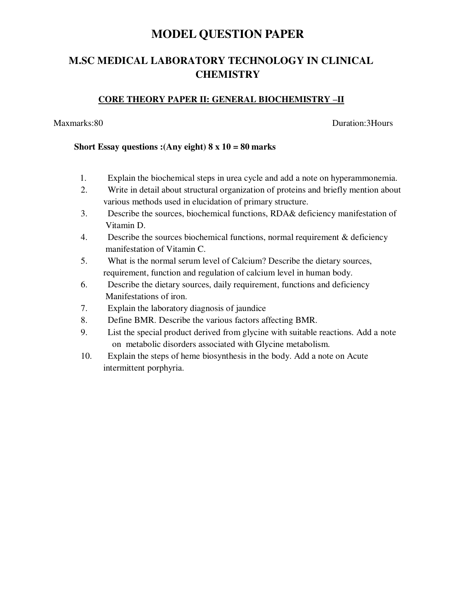# **MODEL QUESTION PAPER**

# **M.SC MEDICAL LABORATORY TECHNOLOGY IN CLINICAL CHEMISTRY**

# **CORE THEORY PAPER II: GENERAL BIOCHEMISTRY –II**

Maxmarks:80 Duration:3Hours

### **Short Essay questions :(Any eight) 8 x 10 = 80 marks**

- 1. Explain the biochemical steps in urea cycle and add a note on hyperammonemia.
- 2. Write in detail about structural organization of proteins and briefly mention about various methods used in elucidation of primary structure.
- 3. Describe the sources, biochemical functions, RDA& deficiency manifestation of Vitamin D.
- 4. Describe the sources biochemical functions, normal requirement & deficiency manifestation of Vitamin C.
- 5. What is the normal serum level of Calcium? Describe the dietary sources, requirement, function and regulation of calcium level in human body.
- 6. Describe the dietary sources, daily requirement, functions and deficiency Manifestations of iron.
- 7. Explain the laboratory diagnosis of jaundice
- 8. Define BMR. Describe the various factors affecting BMR.
- 9. List the special product derived from glycine with suitable reactions. Add a note on metabolic disorders associated with Glycine metabolism.
- 10. Explain the steps of heme biosynthesis in the body. Add a note on Acute intermittent porphyria.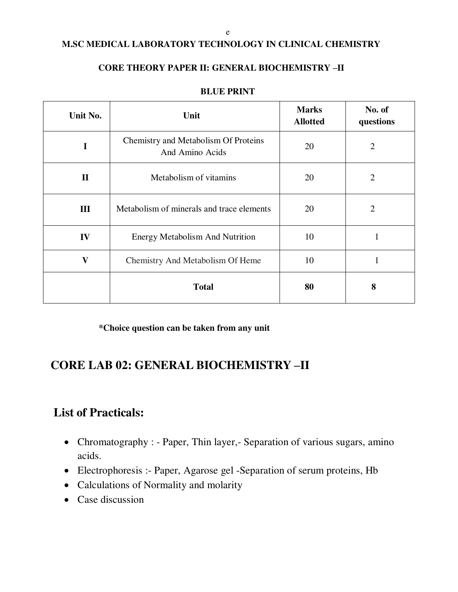#### e

# **M.SC MEDICAL LABORATORY TECHNOLOGY IN CLINICAL CHEMISTRY**

# **CORE THEORY PAPER II: GENERAL BIOCHEMISTRY –II**

| Unit No.                                                    | Unit                                                    | <b>Marks</b><br><b>Allotted</b> | No. of<br>questions |
|-------------------------------------------------------------|---------------------------------------------------------|---------------------------------|---------------------|
| I                                                           | Chemistry and Metabolism Of Proteins<br>And Amino Acids | 20                              |                     |
| $\mathbf{I}$<br>Metabolism of vitamins                      |                                                         | 20                              | $\overline{2}$      |
| Ш                                                           | Metabolism of minerals and trace elements               |                                 | $\overline{2}$      |
| IV<br><b>Energy Metabolism And Nutrition</b>                |                                                         | 10                              | -1                  |
| $\overline{\mathbf{V}}$<br>Chemistry And Metabolism Of Heme |                                                         | 10                              |                     |
| <b>Total</b>                                                |                                                         | 80                              | 8                   |

#### **BLUE PRINT**

**\*Choice question can be taken from any unit**

# **CORE LAB 02: GENERAL BIOCHEMISTRY –II**

# **List of Practicals:**

- Chromatography : Paper, Thin layer, Separation of various sugars, amino acids.
- Electrophoresis :- Paper, Agarose gel -Separation of serum proteins, Hb
- Calculations of Normality and molarity
- Case discussion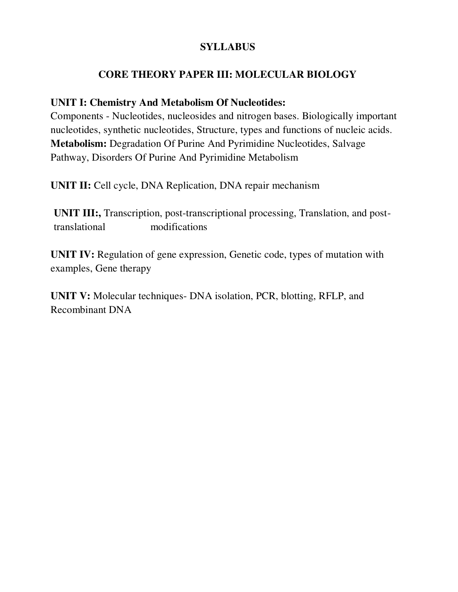# **SYLLABUS**

# **CORE THEORY PAPER III: MOLECULAR BIOLOGY**

# **UNIT I: Chemistry And Metabolism Of Nucleotides:**

Components - Nucleotides, nucleosides and nitrogen bases. Biologically important nucleotides, synthetic nucleotides, Structure, types and functions of nucleic acids. **Metabolism:** Degradation Of Purine And Pyrimidine Nucleotides, Salvage Pathway, Disorders Of Purine And Pyrimidine Metabolism

**UNIT II:** Cell cycle, DNA Replication, DNA repair mechanism

**UNIT III:,** Transcription, post-transcriptional processing, Translation, and posttranslational modifications

**UNIT IV:** Regulation of gene expression, Genetic code, types of mutation with examples, Gene therapy

**UNIT V:** Molecular techniques- DNA isolation, PCR, blotting, RFLP, and Recombinant DNA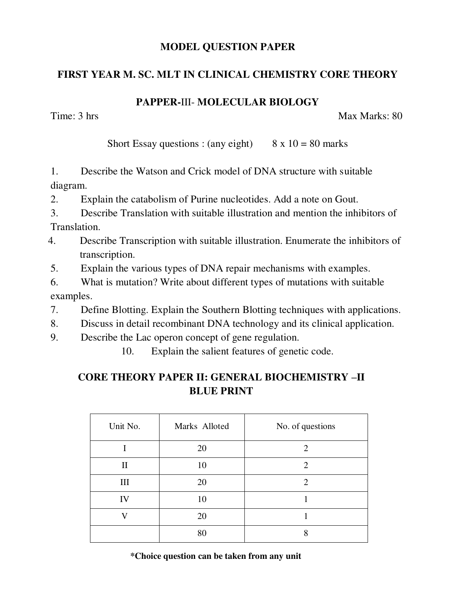# **MODEL QUESTION PAPER**

# **FIRST YEAR M. SC. MLT IN CLINICAL CHEMISTRY CORE THEORY**

# **PAPPER-**III- **MOLECULAR BIOLOGY**

Time: 3 hrs Max Marks: 80

Short Essay questions : (any eight)  $8 \times 10 = 80$  marks

1. Describe the Watson and Crick model of DNA structure with suitable diagram.

2. Explain the catabolism of Purine nucleotides. Add a note on Gout.

3. Describe Translation with suitable illustration and mention the inhibitors of Translation.

- 4. Describe Transcription with suitable illustration. Enumerate the inhibitors of transcription.
- 5. Explain the various types of DNA repair mechanisms with examples.

6. What is mutation? Write about different types of mutations with suitable examples.

7. Define Blotting. Explain the Southern Blotting techniques with applications.

8. Discuss in detail recombinant DNA technology and its clinical application.

9. Describe the Lac operon concept of gene regulation.

10. Explain the salient features of genetic code.

# **CORE THEORY PAPER II: GENERAL BIOCHEMISTRY –II BLUE PRINT**

| Unit No.     | Marks Alloted | No. of questions |
|--------------|---------------|------------------|
|              | 20            | 2                |
| $\mathbf{I}$ | 10            | 2                |
| Ш            | 20            | 2                |
| IV           | 10            |                  |
|              | 20            |                  |
|              | 80            | o                |

 **\*Choice question can be taken from any unit**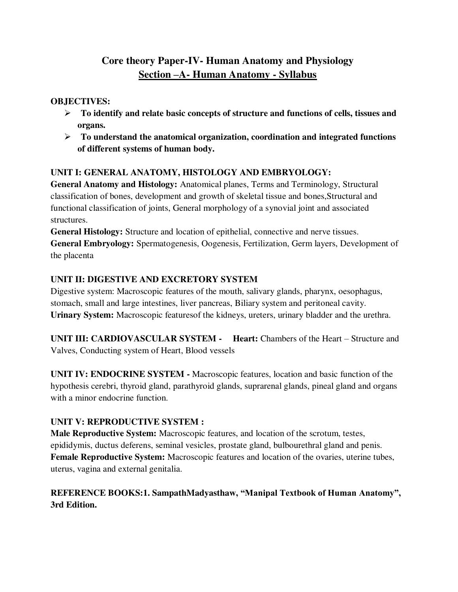# **Core theory Paper-IV- Human Anatomy and Physiology Section –A- Human Anatomy - Syllabus**

# **OBJECTIVES:**

- **To identify and relate basic concepts of structure and functions of cells, tissues and organs.**
- **To understand the anatomical organization, coordination and integrated functions of different systems of human body.**

# **UNIT I: GENERAL ANATOMY, HISTOLOGY AND EMBRYOLOGY:**

**General Anatomy and Histology:** Anatomical planes, Terms and Terminology, Structural classification of bones, development and growth of skeletal tissue and bones,Structural and functional classification of joints, General morphology of a synovial joint and associated structures.

**General Histology:** Structure and location of epithelial, connective and nerve tissues. **General Embryology:** Spermatogenesis, Oogenesis, Fertilization, Germ layers, Development of the placenta

# **UNIT II: DIGESTIVE AND EXCRETORY SYSTEM**

Digestive system: Macroscopic features of the mouth, salivary glands, pharynx, oesophagus, stomach, small and large intestines, liver pancreas, Biliary system and peritoneal cavity. **Urinary System:** Macroscopic featuresof the kidneys, ureters, urinary bladder and the urethra.

**UNIT III: CARDIOVASCULAR SYSTEM - Heart:** Chambers of the Heart – Structure and Valves, Conducting system of Heart, Blood vessels

**UNIT IV: ENDOCRINE SYSTEM -** Macroscopic features, location and basic function of the hypothesis cerebri, thyroid gland, parathyroid glands, suprarenal glands, pineal gland and organs with a minor endocrine function.

# **UNIT V: REPRODUCTIVE SYSTEM :**

**Male Reproductive System:** Macroscopic features, and location of the scrotum, testes, epididymis, ductus deferens, seminal vesicles, prostate gland, bulbourethral gland and penis. **Female Reproductive System:** Macroscopic features and location of the ovaries, uterine tubes, uterus, vagina and external genitalia.

# **REFERENCE BOOKS:1. SampathMadyasthaw, "Manipal Textbook of Human Anatomy", 3rd Edition.**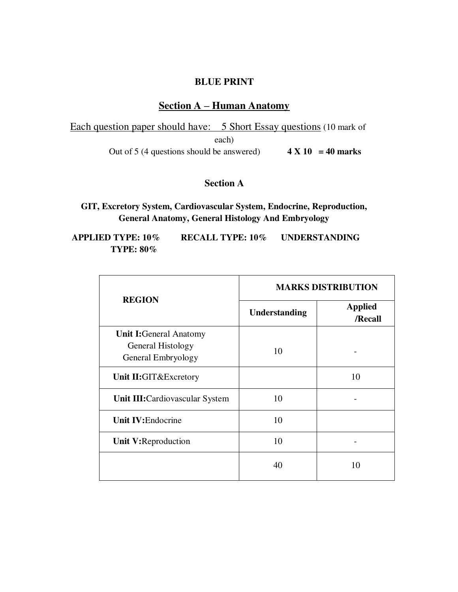# **BLUE PRINT**

# **Section A – Human Anatomy**

Each question paper should have: 5 Short Essay questions (10 mark of each) Out of 5 (4 questions should be answered)  $4 \times 10 = 40$  marks

# **Section A**

**GIT, Excretory System, Cardiovascular System, Endocrine, Reproduction, General Anatomy, General Histology And Embryology** 

**APPLIED TYPE: 10% RECALL TYPE: 10% UNDERSTANDING TYPE: 80%**

|                                                                           | <b>MARKS DISTRIBUTION</b> |                           |  |  |
|---------------------------------------------------------------------------|---------------------------|---------------------------|--|--|
| <b>REGION</b>                                                             | Understanding             | <b>Applied</b><br>/Recall |  |  |
| <b>Unit I:</b> General Anatomy<br>General Histology<br>General Embryology | 10                        |                           |  |  |
| Unit II:GIT&Excretory                                                     |                           | 10                        |  |  |
| Unit III: Cardiovascular System                                           | 10                        |                           |  |  |
| Unit IV: Endocrine                                                        | 10                        |                           |  |  |
| Unit V:Reproduction                                                       | 10                        |                           |  |  |
|                                                                           | 40                        | 10                        |  |  |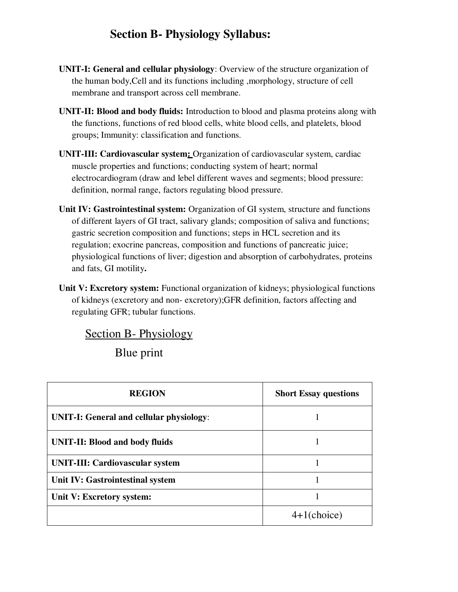# **Section B- Physiology Syllabus:**

- **UNIT-I: General and cellular physiology**: Overview of the structure organization of the human body,Cell and its functions including ,morphology, structure of cell membrane and transport across cell membrane.
- **UNIT-II: Blood and body fluids:** Introduction to blood and plasma proteins along with the functions, functions of red blood cells, white blood cells, and platelets, blood groups; Immunity: classification and functions.
- **UNIT-III: Cardiovascular system:** Organization of cardiovascular system, cardiac muscle properties and functions; conducting system of heart; normal electrocardiogram (draw and lebel different waves and segments; blood pressure: definition, normal range, factors regulating blood pressure.
- **Unit IV: Gastrointestinal system:** Organization of GI system, structure and functions of different layers of GI tract, salivary glands; composition of saliva and functions; gastric secretion composition and functions; steps in HCL secretion and its regulation; exocrine pancreas, composition and functions of pancreatic juice; physiological functions of liver; digestion and absorption of carbohydrates, proteins and fats, GI motility**.**
- **Unit V: Excretory system:** Functional organization of kidneys; physiological functions of kidneys (excretory and non- excretory);GFR definition, factors affecting and regulating GFR; tubular functions.

# Section B- Physiology

Blue print

| <b>REGION</b>                                   | <b>Short Essay questions</b> |
|-------------------------------------------------|------------------------------|
| <b>UNIT-I: General and cellular physiology:</b> |                              |
| <b>UNIT-II: Blood and body fluids</b>           |                              |
| UNIT-III: Cardiovascular system                 |                              |
| Unit IV: Gastrointestinal system                |                              |
| Unit V: Excretory system:                       |                              |
|                                                 | $4+1$ (choice)               |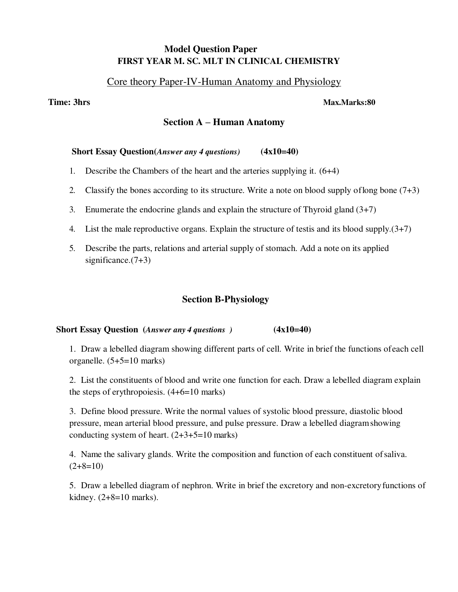# **Model Question Paper FIRST YEAR M. SC. MLT IN CLINICAL CHEMISTRY**

# Core theory Paper-IV-Human Anatomy and Physiology

#### **Time: 3hrs Max.Marks:80**

### **Section A – Human Anatomy**

#### **Short Essay Question(***Answer any 4 questions)* **(4x10=40)**

- 1. Describe the Chambers of the heart and the arteries supplying it. (6+4)
- 2. Classify the bones according to its structure. Write a note on blood supply of long bone  $(7+3)$
- 3. Enumerate the endocrine glands and explain the structure of Thyroid gland (3+7)
- 4. List the male reproductive organs. Explain the structure of testis and its blood supply.(3+7)
- 5. Describe the parts, relations and arterial supply of stomach. Add a note on its applied significance. $(7+3)$

# **Section B-Physiology**

#### **Short Essay Question** (*Answer any 4 questions* )  $(4x10=40)$

1. Draw a lebelled diagram showing different parts of cell. Write in brief the functions of each cell organelle. (5+5=10 marks)

2. List the constituents of blood and write one function for each. Draw a lebelled diagram explain the steps of erythropoiesis. (4+6=10 marks)

3. Define blood pressure. Write the normal values of systolic blood pressure, diastolic blood pressure, mean arterial blood pressure, and pulse pressure. Draw a lebelled diagram showing conducting system of heart. (2+3+5=10 marks)

4. Name the salivary glands. Write the composition and function of each constituent of saliva.  $(2+8=10)$ 

5. Draw a lebelled diagram of nephron. Write in brief the excretory and non-excretory functions of kidney.  $(2+8=10 \text{ marks})$ .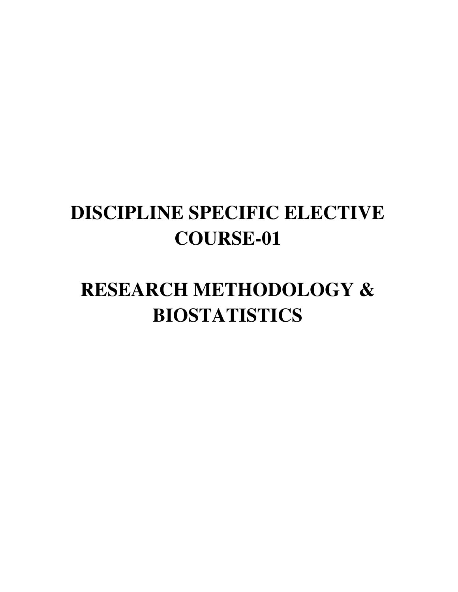# **DISCIPLINE SPECIFIC ELECTIVE COURSE-01**

# **RESEARCH METHODOLOGY & BIOSTATISTICS**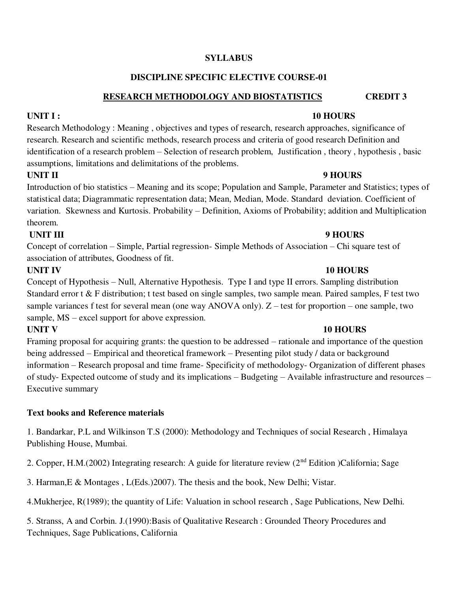# **SYLLABUS**

# **DISCIPLINE SPECIFIC ELECTIVE COURSE-01**

### **RESEARCH METHODOLOGY AND BIOSTATISTICS CREDIT 3**

# **UNIT I : 10 HOURS**

Research Methodology : Meaning , objectives and types of research, research approaches, significance of research. Research and scientific methods, research process and criteria of good research Definition and identification of a research problem – Selection of research problem, Justification , theory , hypothesis , basic assumptions, limitations and delimitations of the problems.

# **UNIT II** 9 HOURS

Introduction of bio statistics – Meaning and its scope; Population and Sample, Parameter and Statistics; types of statistical data; Diagrammatic representation data; Mean, Median, Mode. Standard deviation. Coefficient of variation. Skewness and Kurtosis. Probability – Definition, Axioms of Probability; addition and Multiplication theorem.

# **UNIT III** 9 HOURS

Concept of correlation – Simple, Partial regression- Simple Methods of Association – Chi square test of association of attributes, Goodness of fit.

# **UNIT IV** 10 HOURS

Concept of Hypothesis – Null, Alternative Hypothesis. Type I and type II errors. Sampling distribution Standard error t & F distribution; t test based on single samples, two sample mean. Paired samples, F test two sample variances f test for several mean (one way ANOVA only). Z – test for proportion – one sample, two sample, MS – excel support for above expression.

# **UNIT V** 10 HOURS

Framing proposal for acquiring grants: the question to be addressed – rationale and importance of the question being addressed – Empirical and theoretical framework – Presenting pilot study / data or background information – Research proposal and time frame- Specificity of methodology- Organization of different phases of study- Expected outcome of study and its implications – Budgeting – Available infrastructure and resources – Executive summary

# **Text books and Reference materials**

1. Bandarkar, P.L and Wilkinson T.S (2000): Methodology and Techniques of social Research , Himalaya Publishing House, Mumbai.

2. Copper, H.M.(2002) Integrating research: A guide for literature review (2<sup>nd</sup> Edition )California; Sage

3. Harman,E & Montages , L(Eds.)2007). The thesis and the book, New Delhi; Vistar.

4.Mukherjee, R(1989); the quantity of Life: Valuation in school research , Sage Publications, New Delhi.

5. Stranss, A and Corbin. J.(1990):Basis of Qualitative Research : Grounded Theory Procedures and Techniques, Sage Publications, California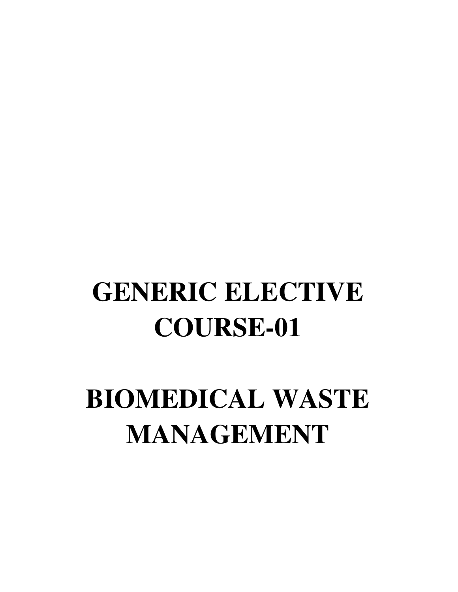# **GENERIC ELECTIVE COURSE-01**

# **BIOMEDICAL WASTE MANAGEMENT**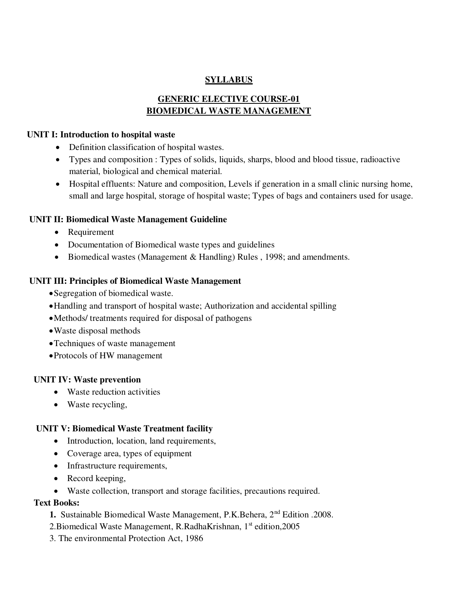# **SYLLABUS**

# **GENERIC ELECTIVE COURSE-01 BIOMEDICAL WASTE MANAGEMENT**

#### **UNIT I: Introduction to hospital waste**

- Definition classification of hospital wastes.
- Types and composition : Types of solids, liquids, sharps, blood and blood tissue, radioactive material, biological and chemical material.
- Hospital effluents: Nature and composition, Levels if generation in a small clinic nursing home, small and large hospital, storage of hospital waste; Types of bags and containers used for usage.

# **UNIT II: Biomedical Waste Management Guideline**

- Requirement
- Documentation of Biomedical waste types and guidelines
- Biomedical wastes (Management & Handling) Rules, 1998; and amendments.

# **UNIT III: Principles of Biomedical Waste Management**

- Segregation of biomedical waste.
- Handling and transport of hospital waste; Authorization and accidental spilling
- Methods/ treatments required for disposal of pathogens
- Waste disposal methods
- Techniques of waste management
- Protocols of HW management

# **UNIT IV: Waste prevention**

- Waste reduction activities
- Waste recycling,

# **UNIT V: Biomedical Waste Treatment facility**

- Introduction, location, land requirements,
- Coverage area, types of equipment
- Infrastructure requirements,
- Record keeping,
- Waste collection, transport and storage facilities, precautions required.

# **Text Books:**

- **1.** Sustainable Biomedical Waste Management, P.K.Behera, 2nd Edition .2008.
- 2.Biomedical Waste Management, R.RadhaKrishnan, 1<sup>st</sup> edition.2005
- 3. The environmental Protection Act, 1986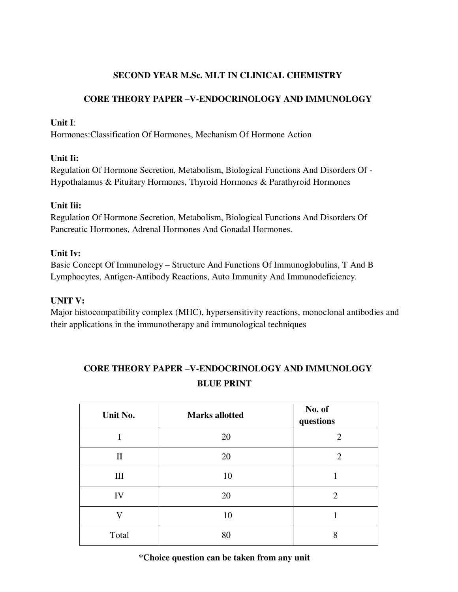# **SECOND YEAR M.Sc. MLT IN CLINICAL CHEMISTRY**

# **CORE THEORY PAPER –V-ENDOCRINOLOGY AND IMMUNOLOGY**

# **Unit I**:

Hormones:Classification Of Hormones, Mechanism Of Hormone Action

# **Unit Ii:**

Regulation Of Hormone Secretion, Metabolism, Biological Functions And Disorders Of - Hypothalamus & Pituitary Hormones, Thyroid Hormones & Parathyroid Hormones

# **Unit Iii:**

Regulation Of Hormone Secretion, Metabolism, Biological Functions And Disorders Of Pancreatic Hormones, Adrenal Hormones And Gonadal Hormones.

# **Unit Iv:**

Basic Concept Of Immunology – Structure And Functions Of Immunoglobulins, T And B Lymphocytes, Antigen-Antibody Reactions, Auto Immunity And Immunodeficiency.

# **UNIT V:**

Major histocompatibility complex (MHC), hypersensitivity reactions, monoclonal antibodies and their applications in the immunotherapy and immunological techniques

# **CORE THEORY PAPER –V-ENDOCRINOLOGY AND IMMUNOLOGY BLUE PRINT**

| Unit No. | <b>Marks allotted</b> | No. of<br>questions |  |
|----------|-----------------------|---------------------|--|
|          | 20                    | $\overline{2}$      |  |
| $\rm II$ | 20                    | $\overline{2}$      |  |
| Ш        | 10                    |                     |  |
| IV       | 20                    | $\overline{2}$      |  |
| V        | 10                    |                     |  |
| Total    | 80                    | 8                   |  |

# **\*Choice question can be taken from any unit**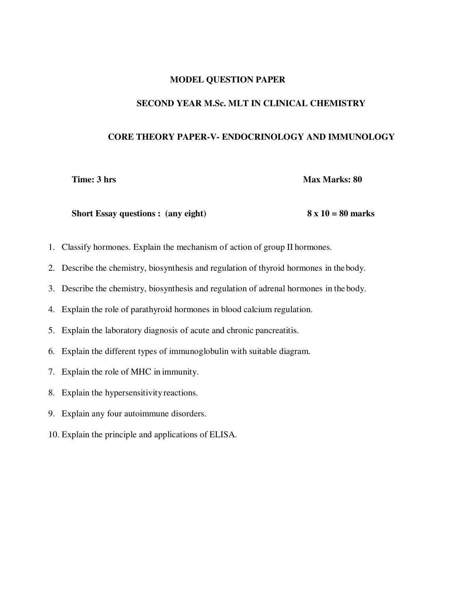#### **MODEL QUESTION PAPER**

#### **SECOND YEAR M.Sc. MLT IN CLINICAL CHEMISTRY**

#### **CORE THEORY PAPER-V- ENDOCRINOLOGY AND IMMUNOLOGY**

**Time: 3 hrs** Max Marks: 80

Short Essay questions : (any eight) 8 x 10 = 80 marks

- 1. Classify hormones. Explain the mechanism of action of group II hormones.
- 2. Describe the chemistry, biosynthesis and regulation of thyroid hormones in the body.
- 3. Describe the chemistry, biosynthesis and regulation of adrenal hormones in the body.
- 4. Explain the role of parathyroid hormones in blood calcium regulation.
- 5. Explain the laboratory diagnosis of acute and chronic pancreatitis.
- 6. Explain the different types of immunoglobulin with suitable diagram.
- 7. Explain the role of MHC in immunity.
- 8. Explain the hypersensitivity reactions.
- 9. Explain any four autoimmune disorders.
- 10. Explain the principle and applications of ELISA.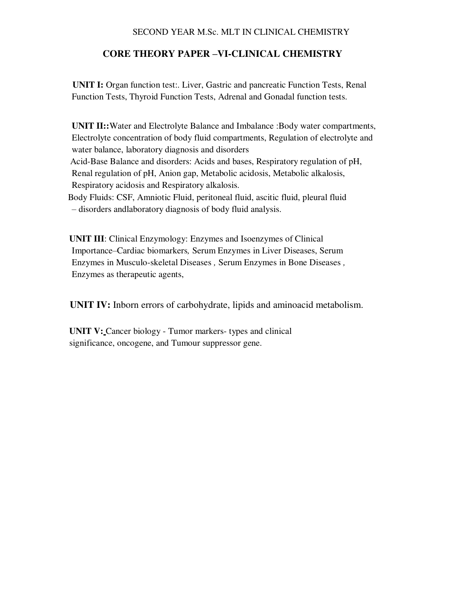#### SECOND YEAR M.Sc. MLT IN CLINICAL CHEMISTRY

# **CORE THEORY PAPER –VI-CLINICAL CHEMISTRY**

 **UNIT I:** Organ function test:. Liver, Gastric and pancreatic Function Tests, Renal Function Tests, Thyroid Function Tests, Adrenal and Gonadal function tests.

**UNIT II::** Water and Electrolyte Balance and Imbalance : Body water compartments, Electrolyte concentration of body fluid compartments, Regulation of electrolyte and water balance, laboratory diagnosis and disorders Acid-Base Balance and disorders: Acids and bases, Respiratory regulation of pH, Renal regulation of pH, Anion gap, Metabolic acidosis, Metabolic alkalosis, Respiratory acidosis and Respiratory alkalosis. Body Fluids: CSF, Amniotic Fluid, peritoneal fluid, ascitic fluid, pleural fluid

– disorders andlaboratory diagnosis of body fluid analysis.

**UNIT III**: Clinical Enzymology: Enzymes and Isoenzymes of Clinical Importance–Cardiac biomarkers*,* Serum Enzymes in Liver Diseases, Serum Enzymes in Musculo-skeletal Diseases *,* Serum Enzymes in Bone Diseases *,*  Enzymes as therapeutic agents,

**UNIT IV:** Inborn errors of carbohydrate, lipids and aminoacid metabolism.

**UNIT V:** Cancer biology - Tumor markers- types and clinical significance, oncogene, and Tumour suppressor gene.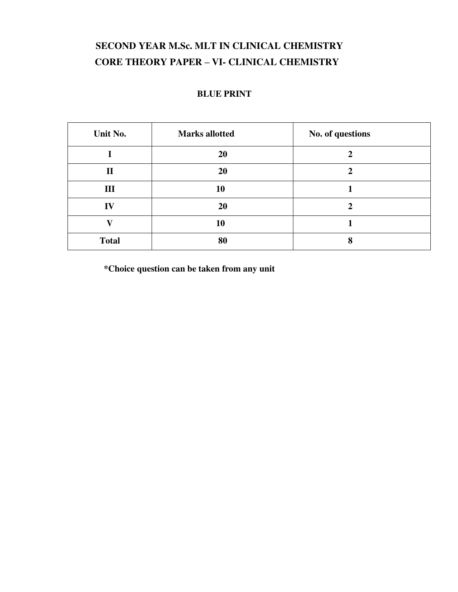# **SECOND YEAR M.Sc. MLT IN CLINICAL CHEMISTRY CORE THEORY PAPER – VI- CLINICAL CHEMISTRY**

#### **BLUE PRINT**

| Unit No.     | <b>Marks allotted</b> | No. of questions |  |
|--------------|-----------------------|------------------|--|
|              | 20                    |                  |  |
| $\mathbf{I}$ | 20                    |                  |  |
| III          | 10                    |                  |  |
| IV           | 20                    |                  |  |
| V7           | 10                    |                  |  |
| <b>Total</b> | 80                    | 8                |  |

 **\*Choice question can be taken from any unit**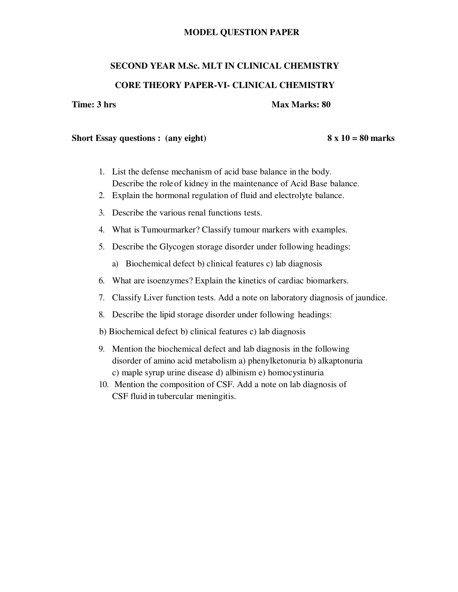#### **MODEL QUESTION PAPER**

#### **SECOND YEAR M.Sc. MLT IN CLINICAL CHEMISTRY**

#### **CORE THEORY PAPER-VI- CLINICAL CHEMISTRY**

#### **Time: 3 hrs** Max Marks: 80

#### Short Essay questions : (any eight) 8 x 10 = 80 marks

- 1. List the defense mechanism of acid base balance in the body. Describe the role of kidney in the maintenance of Acid Base balance.
- 2. Explain the hormonal regulation of fluid and electrolyte balance.
- 3. Describe the various renal functions tests.
- 4. What is Tumourmarker? Classify tumour markers with examples.
- 5. Describe the Glycogen storage disorder under following headings:
	- a) Biochemical defect b) clinical features c) lab diagnosis
- 6. What are isoenzymes? Explain the kinetics of cardiac biomarkers.
- 7. Classify Liver function tests. Add a note on laboratory diagnosis of jaundice.
- 8. Describe the lipid storage disorder under following headings:
- b) Biochemical defect b) clinical features c) lab diagnosis
- 9. Mention the biochemical defect and lab diagnosis in the following disorder of amino acid metabolism a) phenylketonuria b) alkaptonuria c) maple syrup urine disease d) albinism e) homocystinuria
- 10. Mention the composition of CSF. Add a note on lab diagnosis of CSF fluid in tubercular meningitis.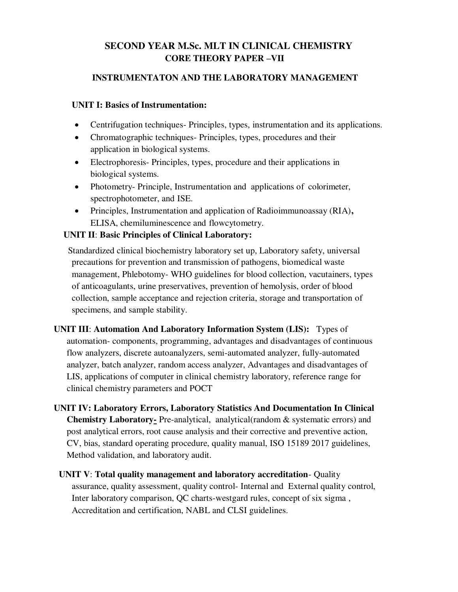# **SECOND YEAR M.Sc. MLT IN CLINICAL CHEMISTRY CORE THEORY PAPER –VII**

# **INSTRUMENTATON AND THE LABORATORY MANAGEMENT**

# **UNIT I: Basics of Instrumentation:**

- Centrifugation techniques- Principles, types, instrumentation and its applications.
- Chromatographic techniques- Principles, types, procedures and their application in biological systems.
- Electrophoresis- Principles, types, procedure and their applications in biological systems.
- Photometry- Principle, Instrumentation and applications of colorimeter, spectrophotometer, and ISE.
- Principles, Instrumentation and application of Radioimmunoassay (RIA)**,**  ELISA, chemiluminescence and flowcytometry.

# **UNIT II**: **Basic Principles of Clinical Laboratory:**

 Standardized clinical biochemistry laboratory set up, Laboratory safety, universal precautions for prevention and transmission of pathogens, biomedical waste management, Phlebotomy- WHO guidelines for blood collection, vacutainers, types of anticoagulants, urine preservatives, prevention of hemolysis, order of blood collection, sample acceptance and rejection criteria, storage and transportation of specimens, and sample stability.

**UNIT III**: **Automation And Laboratory Information System (LIS):** Types of automation- components, programming, advantages and disadvantages of continuous flow analyzers, discrete autoanalyzers, semi-automated analyzer, fully-automated analyzer, batch analyzer, random access analyzer, Advantages and disadvantages of LIS, applications of computer in clinical chemistry laboratory, reference range for clinical chemistry parameters and POCT

- **UNIT IV: Laboratory Errors, Laboratory Statistics And Documentation In Clinical Chemistry Laboratory-** Pre-analytical, analytical(random & systematic errors) and post analytical errors, root cause analysis and their corrective and preventive action, CV, bias, standard operating procedure, quality manual, ISO 15189 2017 guidelines, Method validation, and laboratory audit.
	- **UNIT V**: **Total quality management and laboratory accreditation** Quality assurance, quality assessment, quality control- Internal and External quality control, Inter laboratory comparison, QC charts-westgard rules, concept of six sigma , Accreditation and certification, NABL and CLSI guidelines.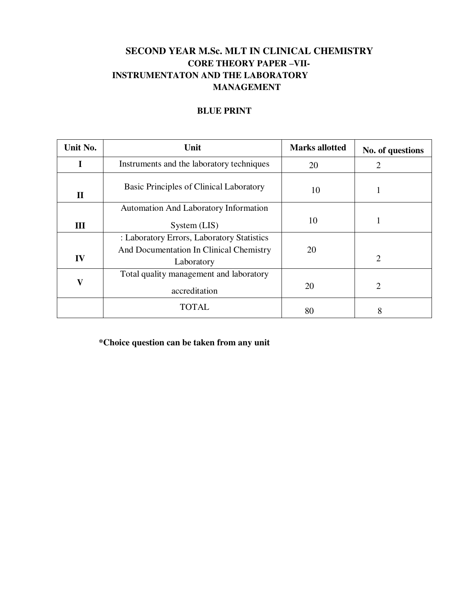# **SECOND YEAR M.Sc. MLT IN CLINICAL CHEMISTRY CORE THEORY PAPER –VII- INSTRUMENTATON AND THE LABORATORY MANAGEMENT**

# **BLUE PRINT**

| Unit No.                | Unit                                                  | <b>Marks allotted</b> | No. of questions |
|-------------------------|-------------------------------------------------------|-----------------------|------------------|
| I                       | Instruments and the laboratory techniques             | 20                    | 2                |
| $\Pi$                   | Basic Principles of Clinical Laboratory               | 10                    |                  |
|                         | <b>Automation And Laboratory Information</b>          |                       |                  |
| III                     | System (LIS)                                          | 10                    |                  |
|                         | : Laboratory Errors, Laboratory Statistics            |                       |                  |
| IV                      | And Documentation In Clinical Chemistry<br>Laboratory | 20                    | $\overline{2}$   |
| $\overline{\mathbf{V}}$ | Total quality management and laboratory               |                       |                  |
|                         | accreditation                                         | 20                    | 2                |
|                         | TOTAL                                                 | 80                    | 8                |

**\*Choice question can be taken from any unit**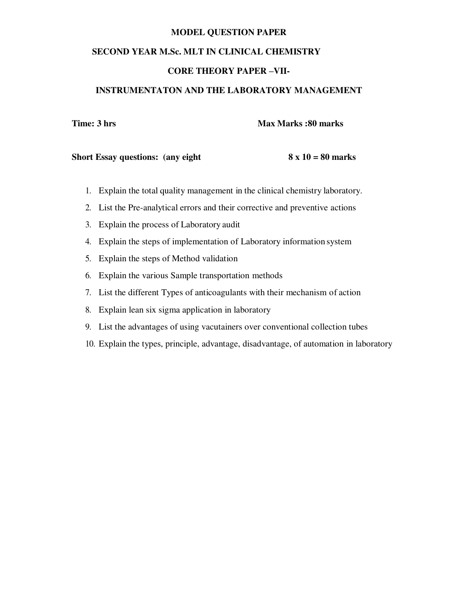#### **MODEL QUESTION PAPER**

#### **SECOND YEAR M.Sc. MLT IN CLINICAL CHEMISTRY**

# **CORE THEORY PAPER –VII-**

#### **INSTRUMENTATON AND THE LABORATORY MANAGEMENT**

**Time: 3 hrs Max Marks :80 marks**  Max Marks **:80 marks** 

#### **Short Essay questions:** (any eight  $8 \times 10 = 80$  marks

- 1. Explain the total quality management in the clinical chemistry laboratory.
- 2. List the Pre-analytical errors and their corrective and preventive actions
- 3. Explain the process of Laboratory audit
- 4. Explain the steps of implementation of Laboratory information system
- 5. Explain the steps of Method validation
- 6. Explain the various Sample transportation methods
- 7. List the different Types of anticoagulants with their mechanism of action
- 8. Explain lean six sigma application in laboratory
- 9. List the advantages of using vacutainers over conventional collection tubes
- 10. Explain the types, principle, advantage, disadvantage, of automation in laboratory